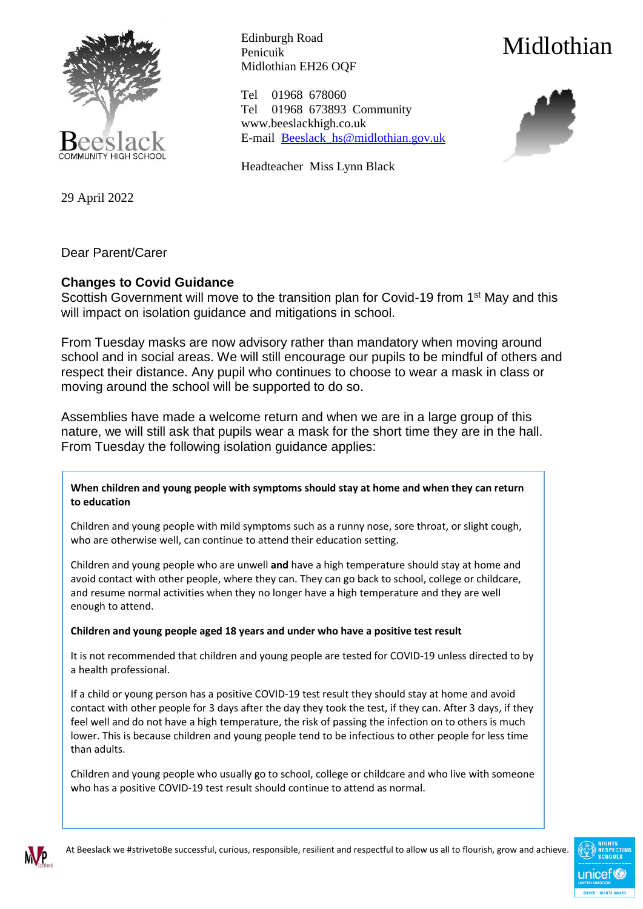

29 April 2022

Edinburgh Road Penicuik Midlothian EH26 OQF

Tel 01968 678060 Tel 01968 673893 Community www.beeslackhigh.co.uk E-mail [Beeslack\\_hs@midlothian.gov.uk](mailto:Beeslack_hs@midlothian.gov.uk)

Headteacher Miss Lynn Black



Dear Parent/Carer

## **Changes to Covid Guidance**

Scottish Government will move to the transition plan for Covid-19 from 1<sup>st</sup> May and this will impact on isolation guidance and mitigations in school.

From Tuesday masks are now advisory rather than mandatory when moving around school and in social areas. We will still encourage our pupils to be mindful of others and respect their distance. Any pupil who continues to choose to wear a mask in class or moving around the school will be supported to do so.

Assemblies have made a welcome return and when we are in a large group of this nature, we will still ask that pupils wear a mask for the short time they are in the hall. From Tuesday the following isolation guidance applies:

**When children and young people with symptoms should stay at home and when they can return to education**

Children and young people with mild symptoms such as a runny nose, sore throat, or slight cough, who are otherwise well, can continue to attend their education setting.

Children and young people who are unwell **and** have a high temperature should stay at home and avoid contact with other people, where they can. They can go back to school, college or childcare, and resume normal activities when they no longer have a high temperature and they are well enough to attend.

**Children and young people aged 18 years and under who have a positive test result**

It is not recommended that children and young people are tested for COVID-19 unless directed to by a health professional.

If a child or young person has a positive COVID-19 test result they should stay at home and avoid contact with other people for 3 days after the day they took the test, if they can. After 3 days, if they feel well and do not have a high temperature, the risk of passing the infection on to others is much lower. This is because children and young people tend to be infectious to other people for less time than adults.

Children and young people who usually go to school, college or childcare and who live with someone who has a positive COVID-19 test result should continue to attend as normal.